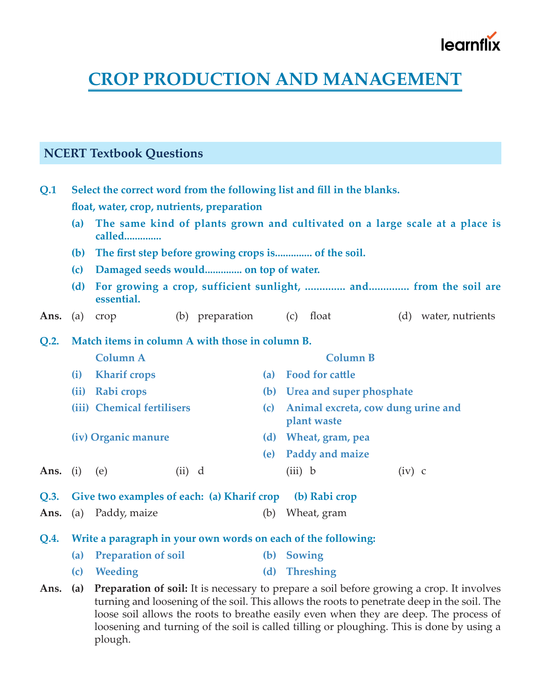

# **CROP PRODUCTION AND MANAGEMENT**

# **NCERT Textbook Questions Q.1 Select the correct word from the following list and fill in the blanks. float, water, crop, nutrients, preparation (a) The same kind of plants grown and cultivated on a large scale at a place is called.............. (b) The first step before growing crops is.............. of the soil. (c) Damaged seeds would.............. on top of water. (d) For growing a crop, sufficient sunlight, .............. and.............. from the soil are essential.** Ans. (a) crop (b) preparation (c) float (d) water, nutrients **Q.2. Match items in column A with those in column B. Column A Column B (i) Kharif crops (a) Food for cattle (ii) Rabi crops (b) Urea and super phosphate (iii) Chemical fertilisers (c) Animal excreta, cow dung urine and plant waste (iv) Organic manure (d) Wheat, gram, pea (e) Paddy and maize Ans.** (i) (e) (ii) d (iii) b (iv) c **Q.3. Give two examples of each: (a) Kharif crop (b) Rabi crop** Ans. (a) Paddy, maize (b) Wheat, gram **Q.4. Write a paragraph in your own words on each of the following: (a) Preparation of soil (b) Sowing (c) Weeding (d) Threshing Ans. (a) Preparation of soil:** It is necessary to prepare a soil before growing a crop. It involves turning and loosening of the soil. This allows the roots to penetrate deep in the soil. The loose soil allows the roots to breathe easily even when they are deep. The process of loosening and turning of the soil is called tilling or ploughing. This is done by using a plough.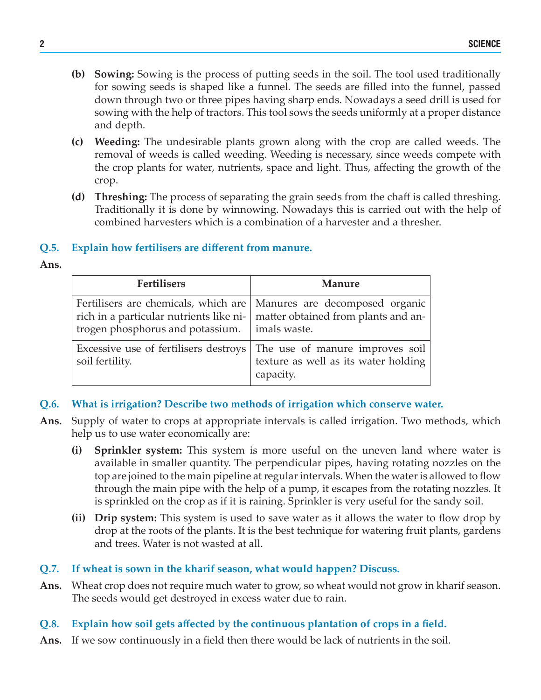- **(b) Sowing:** Sowing is the process of putting seeds in the soil. The tool used traditionally for sowing seeds is shaped like a funnel. The seeds are filled into the funnel, passed down through two or three pipes having sharp ends. Nowadays a seed drill is used for sowing with the help of tractors. This tool sows the seeds uniformly at a proper distance and depth.
- **(c) Weeding:** The undesirable plants grown along with the crop are called weeds. The removal of weeds is called weeding. Weeding is necessary, since weeds compete with the crop plants for water, nutrients, space and light. Thus, affecting the growth of the crop.
- **(d) Threshing:** The process of separating the grain seeds from the chaff is called threshing. Traditionally it is done by winnowing. Nowadays this is carried out with the help of combined harvesters which is a combination of a harvester and a thresher.

# **Q.5. Explain how fertilisers are different from manure.**

**Ans.**

| <b>Fertilisers</b>                                                                                                  | <b>Manure</b>                                                                         |
|---------------------------------------------------------------------------------------------------------------------|---------------------------------------------------------------------------------------|
| Fertilisers are chemicals, which are<br>rich in a particular nutrients like ni-<br>trogen phosphorus and potassium. | Manures are decomposed organic<br>matter obtained from plants and an-<br>imals waste. |
| Excessive use of fertilisers destroys<br>soil fertility.                                                            | The use of manure improves soil<br>texture as well as its water holding<br>capacity.  |

## **Q.6. What is irrigation? Describe two methods of irrigation which conserve water.**

- **Ans.** Supply of water to crops at appropriate intervals is called irrigation. Two methods, which help us to use water economically are:
	- **(i) Sprinkler system:** This system is more useful on the uneven land where water is available in smaller quantity. The perpendicular pipes, having rotating nozzles on the top are joined to the main pipeline at regular intervals. When the water is allowed to flow through the main pipe with the help of a pump, it escapes from the rotating nozzles. It is sprinkled on the crop as if it is raining. Sprinkler is very useful for the sandy soil.
	- **(ii) Drip system:** This system is used to save water as it allows the water to flow drop by drop at the roots of the plants. It is the best technique for watering fruit plants, gardens and trees. Water is not wasted at all.
- **Q.7. If wheat is sown in the kharif season, what would happen? Discuss.**
- Ans. Wheat crop does not require much water to grow, so wheat would not grow in kharif season. The seeds would get destroyed in excess water due to rain.
- **Q.8. Explain how soil gets affected by the continuous plantation of crops in a field.**
- **Ans.** If we sow continuously in a field then there would be lack of nutrients in the soil.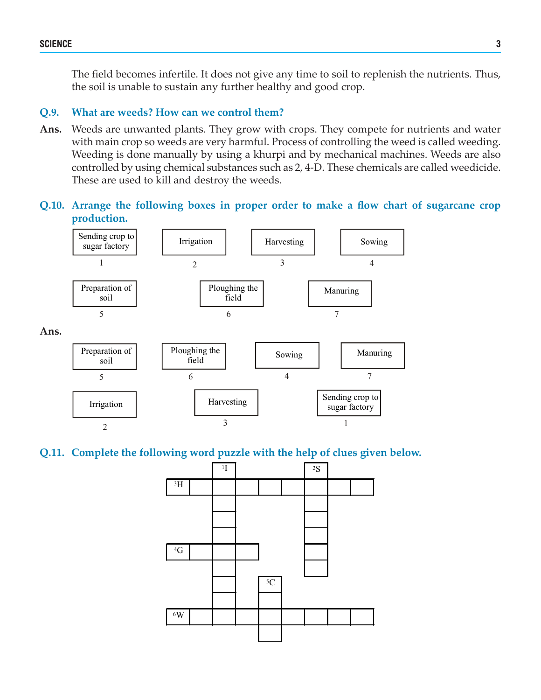**Ans.**

The field becomes infertile. It does not give any time to soil to replenish the nutrients. Thus, the soil is unable to sustain any further healthy and good crop.

#### **Q.9. What are weeds? How can we control them?**

Ans. Weeds are unwanted plants. They grow with crops. They compete for nutrients and water with main crop so weeds are very harmful. Process of controlling the weed is called weeding. Weeding is done manually by using a khurpi and by mechanical machines. Weeds are also controlled by using chemical substances such as 2, 4-D. These chemicals are called weedicide. These are used to kill and destroy the weeds.

## **Q.10. Arrange the following boxes in proper order to make a flow chart of sugarcane crop production.**



#### **Q.11. Complete the following word puzzle with the help of clues given below.**